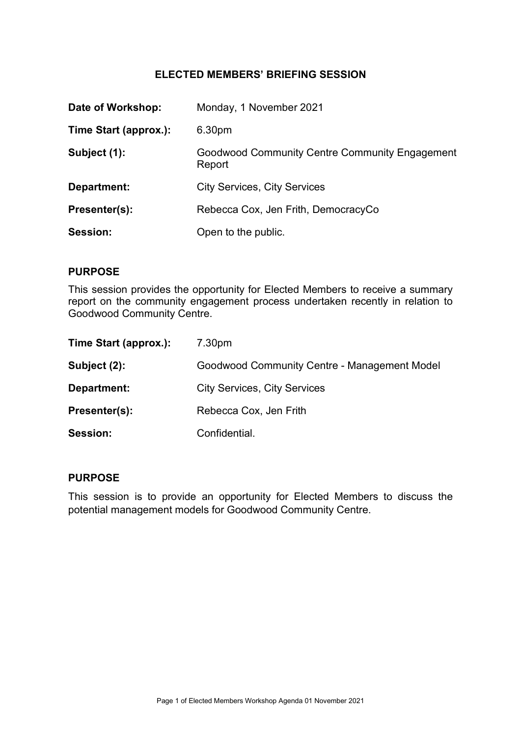## ELECTED MEMBERS' BRIEFING SESSION

| Date of Workshop:     | Monday, 1 November 2021                                  |
|-----------------------|----------------------------------------------------------|
| Time Start (approx.): | 6.30pm                                                   |
| Subject (1):          | Goodwood Community Centre Community Engagement<br>Report |
| Department:           | <b>City Services, City Services</b>                      |
| Presenter(s):         | Rebecca Cox, Jen Frith, DemocracyCo                      |
| Session:              | Open to the public.                                      |

### PURPOSE

This session provides the opportunity for Elected Members to receive a summary report on the community engagement process undertaken recently in relation to Goodwood Community Centre.

| Time Start (approx.): | 7.30pm                                       |
|-----------------------|----------------------------------------------|
| Subject (2):          | Goodwood Community Centre - Management Model |
| Department:           | <b>City Services, City Services</b>          |
| Presenter(s):         | Rebecca Cox, Jen Frith                       |
| <b>Session:</b>       | Confidential.                                |

#### PURPOSE

This session is to provide an opportunity for Elected Members to discuss the potential management models for Goodwood Community Centre.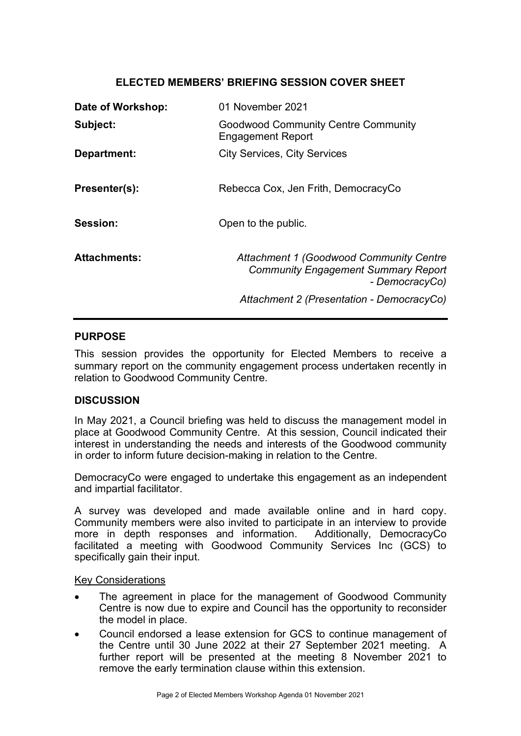## ELECTED MEMBERS' BRIEFING SESSION COVER SHEET

| Date of Workshop:   | 01 November 2021                                                                                               |
|---------------------|----------------------------------------------------------------------------------------------------------------|
| Subject:            | <b>Goodwood Community Centre Community</b><br>Engagement Report                                                |
| Department:         | <b>City Services, City Services</b>                                                                            |
| Presenter(s):       | Rebecca Cox, Jen Frith, DemocracyCo                                                                            |
| Session:            | Open to the public.                                                                                            |
| <b>Attachments:</b> | <b>Attachment 1 (Goodwood Community Centre</b><br><b>Community Engagement Summary Report</b><br>- DemocracyCo) |
|                     | Attachment 2 (Presentation - DemocracyCo)                                                                      |

### PURPOSE

This session provides the opportunity for Elected Members to receive a summary report on the community engagement process undertaken recently in relation to Goodwood Community Centre.

#### **DISCUSSION**

In May 2021, a Council briefing was held to discuss the management model in place at Goodwood Community Centre. At this session, Council indicated their interest in understanding the needs and interests of the Goodwood community in order to inform future decision-making in relation to the Centre.

DemocracyCo were engaged to undertake this engagement as an independent and impartial facilitator.

A survey was developed and made available online and in hard copy. Community members were also invited to participate in an interview to provide more in depth responses and information. Additionally, DemocracyCo facilitated a meeting with Goodwood Community Services Inc (GCS) to specifically gain their input.

#### Key Considerations

- The agreement in place for the management of Goodwood Community Centre is now due to expire and Council has the opportunity to reconsider the model in place.
- Council endorsed a lease extension for GCS to continue management of the Centre until 30 June 2022 at their 27 September 2021 meeting. A further report will be presented at the meeting 8 November 2021 to remove the early termination clause within this extension.